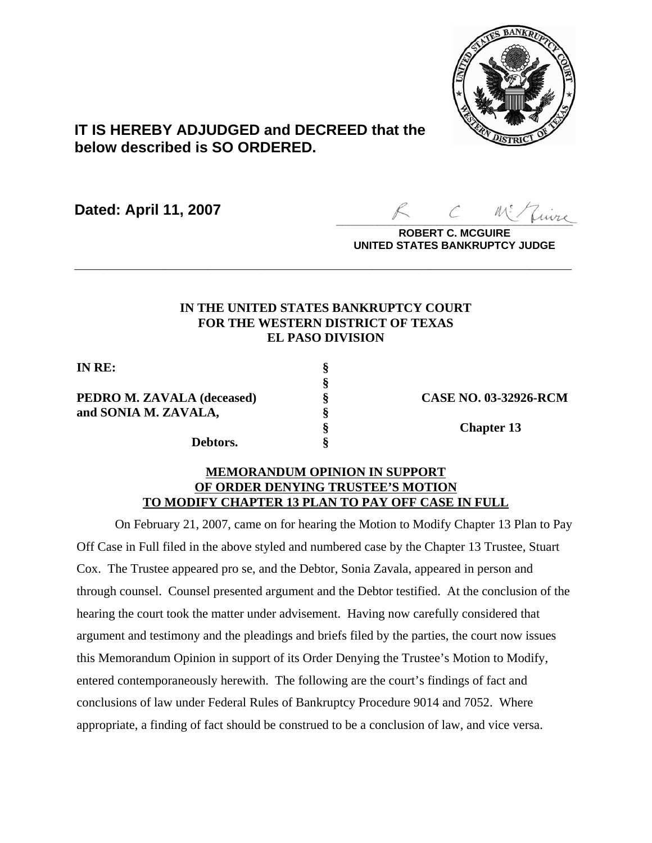

# **IT IS HEREBY ADJUDGED and DECREED that the below described is SO ORDERED.**

**Dated: April 11, 2007**

 $\overline{\mathcal{L}}$ uire

**ROBERT C. MCGUIRE UNITED STATES BANKRUPTCY JUDGE**

# **IN THE UNITED STATES BANKRUPTCY COURT FOR THE WESTERN DISTRICT OF TEXAS EL PASO DIVISION**

**\_\_\_\_\_\_\_\_\_\_\_\_\_\_\_\_\_\_\_\_\_\_\_\_\_\_\_\_\_\_\_\_\_\_\_\_\_\_\_\_\_\_\_\_\_\_\_\_\_\_\_\_\_\_\_\_\_\_\_\_**

**§**

**IN RE: §**

**PEDRO M. ZAVALA (deceased) § CASE NO. 03-32926-RCM and SONIA M. ZAVALA, §**

**Debtors. §**

**§ Chapter 13**

### **MEMORANDUM OPINION IN SUPPORT OF ORDER DENYING TRUSTEE'S MOTION TO MODIFY CHAPTER 13 PLAN TO PAY OFF CASE IN FULL**

On February 21, 2007, came on for hearing the Motion to Modify Chapter 13 Plan to Pay Off Case in Full filed in the above styled and numbered case by the Chapter 13 Trustee, Stuart Cox. The Trustee appeared pro se, and the Debtor, Sonia Zavala, appeared in person and through counsel. Counsel presented argument and the Debtor testified. At the conclusion of the hearing the court took the matter under advisement. Having now carefully considered that argument and testimony and the pleadings and briefs filed by the parties, the court now issues this Memorandum Opinion in support of its Order Denying the Trustee's Motion to Modify, entered contemporaneously herewith. The following are the court's findings of fact and conclusions of law under Federal Rules of Bankruptcy Procedure 9014 and 7052. Where appropriate, a finding of fact should be construed to be a conclusion of law, and vice versa.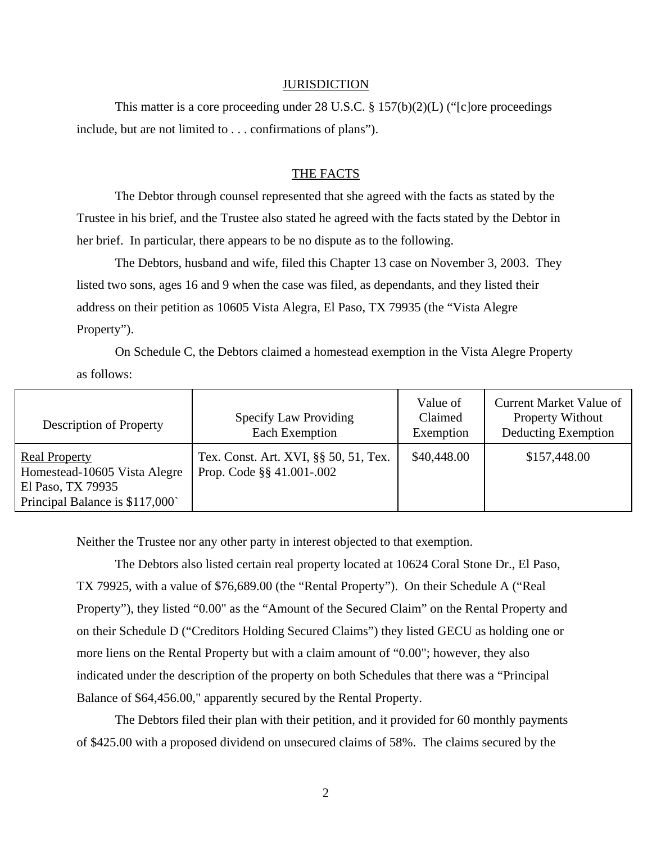#### **JURISDICTION**

This matter is a core proceeding under 28 U.S.C. § 157(b)(2)(L) ("[c]ore proceedings include, but are not limited to . . . confirmations of plans").

### THE FACTS

The Debtor through counsel represented that she agreed with the facts as stated by the Trustee in his brief, and the Trustee also stated he agreed with the facts stated by the Debtor in her brief. In particular, there appears to be no dispute as to the following.

The Debtors, husband and wife, filed this Chapter 13 case on November 3, 2003. They listed two sons, ages 16 and 9 when the case was filed, as dependants, and they listed their address on their petition as 10605 Vista Alegra, El Paso, TX 79935 (the "Vista Alegre Property").

On Schedule C, the Debtors claimed a homestead exemption in the Vista Alegre Property as follows:

| <b>Description of Property</b>                                                                              | <b>Specify Law Providing</b><br>Each Exemption                     | Value of<br>Claimed<br>Exemption | Current Market Value of<br><b>Property Without</b><br>Deducting Exemption |
|-------------------------------------------------------------------------------------------------------------|--------------------------------------------------------------------|----------------------------------|---------------------------------------------------------------------------|
| <b>Real Property</b><br>Homestead-10605 Vista Alegre<br>El Paso, TX 79935<br>Principal Balance is \$117,000 | Tex. Const. Art. XVI, §§ 50, 51, Tex.<br>Prop. Code §§ 41.001-.002 | \$40,448.00                      | \$157,448.00                                                              |

Neither the Trustee nor any other party in interest objected to that exemption.

The Debtors also listed certain real property located at 10624 Coral Stone Dr., El Paso, TX 79925, with a value of \$76,689.00 (the "Rental Property"). On their Schedule A ("Real Property"), they listed "0.00" as the "Amount of the Secured Claim" on the Rental Property and on their Schedule D ("Creditors Holding Secured Claims") they listed GECU as holding one or more liens on the Rental Property but with a claim amount of "0.00"; however, they also indicated under the description of the property on both Schedules that there was a "Principal Balance of \$64,456.00," apparently secured by the Rental Property.

The Debtors filed their plan with their petition, and it provided for 60 monthly payments of \$425.00 with a proposed dividend on unsecured claims of 58%. The claims secured by the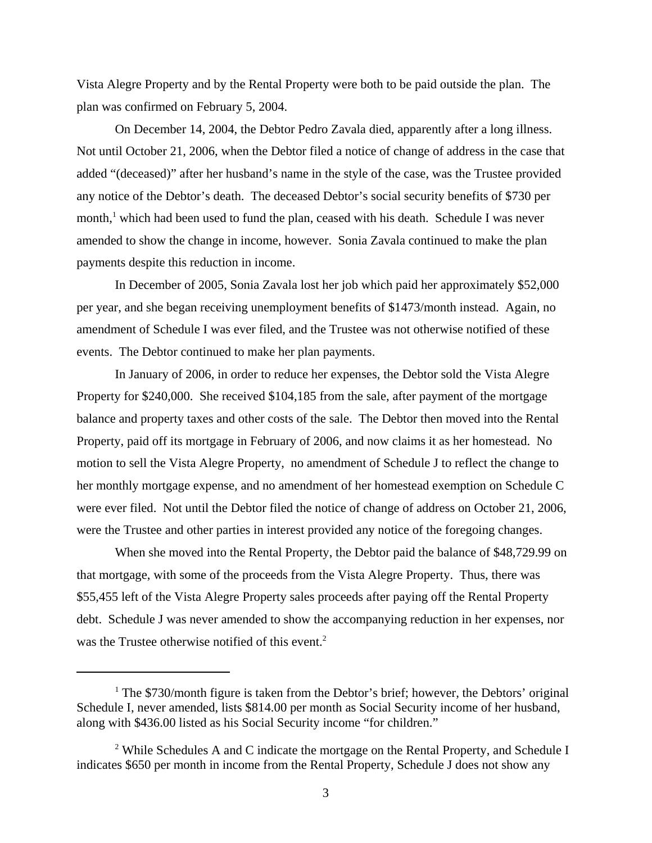Vista Alegre Property and by the Rental Property were both to be paid outside the plan. The plan was confirmed on February 5, 2004.

On December 14, 2004, the Debtor Pedro Zavala died, apparently after a long illness. Not until October 21, 2006, when the Debtor filed a notice of change of address in the case that added "(deceased)" after her husband's name in the style of the case, was the Trustee provided any notice of the Debtor's death. The deceased Debtor's social security benefits of \$730 per month,<sup>1</sup> which had been used to fund the plan, ceased with his death. Schedule I was never amended to show the change in income, however. Sonia Zavala continued to make the plan payments despite this reduction in income.

In December of 2005, Sonia Zavala lost her job which paid her approximately \$52,000 per year, and she began receiving unemployment benefits of \$1473/month instead. Again, no amendment of Schedule I was ever filed, and the Trustee was not otherwise notified of these events. The Debtor continued to make her plan payments.

In January of 2006, in order to reduce her expenses, the Debtor sold the Vista Alegre Property for \$240,000. She received \$104,185 from the sale, after payment of the mortgage balance and property taxes and other costs of the sale. The Debtor then moved into the Rental Property, paid off its mortgage in February of 2006, and now claims it as her homestead. No motion to sell the Vista Alegre Property, no amendment of Schedule J to reflect the change to her monthly mortgage expense, and no amendment of her homestead exemption on Schedule C were ever filed. Not until the Debtor filed the notice of change of address on October 21, 2006, were the Trustee and other parties in interest provided any notice of the foregoing changes.

When she moved into the Rental Property, the Debtor paid the balance of \$48,729.99 on that mortgage, with some of the proceeds from the Vista Alegre Property. Thus, there was \$55,455 left of the Vista Alegre Property sales proceeds after paying off the Rental Property debt. Schedule J was never amended to show the accompanying reduction in her expenses, nor was the Trustee otherwise notified of this event.<sup>2</sup>

<sup>&</sup>lt;sup>1</sup> The \$730/month figure is taken from the Debtor's brief; however, the Debtors' original Schedule I, never amended, lists \$814.00 per month as Social Security income of her husband, along with \$436.00 listed as his Social Security income "for children."

<sup>&</sup>lt;sup>2</sup> While Schedules A and C indicate the mortgage on the Rental Property, and Schedule I indicates \$650 per month in income from the Rental Property, Schedule J does not show any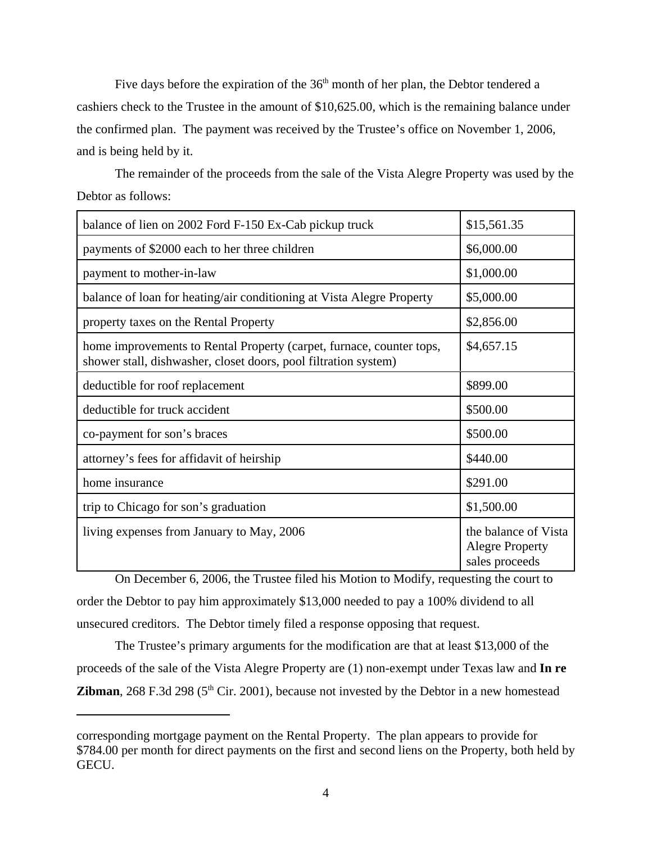Five days before the expiration of the  $36<sup>th</sup>$  month of her plan, the Debtor tendered a cashiers check to the Trustee in the amount of \$10,625.00, which is the remaining balance under the confirmed plan. The payment was received by the Trustee's office on November 1, 2006, and is being held by it.

The remainder of the proceeds from the sale of the Vista Alegre Property was used by the Debtor as follows:

| balance of lien on 2002 Ford F-150 Ex-Cab pickup truck                                                                                  | \$15,561.35                                                      |
|-----------------------------------------------------------------------------------------------------------------------------------------|------------------------------------------------------------------|
| payments of \$2000 each to her three children                                                                                           | \$6,000.00                                                       |
| payment to mother-in-law                                                                                                                | \$1,000.00                                                       |
| balance of loan for heating/air conditioning at Vista Alegre Property                                                                   | \$5,000.00                                                       |
| property taxes on the Rental Property                                                                                                   | \$2,856.00                                                       |
| home improvements to Rental Property (carpet, furnace, counter tops,<br>shower stall, dishwasher, closet doors, pool filtration system) | \$4,657.15                                                       |
| deductible for roof replacement                                                                                                         | \$899.00                                                         |
| deductible for truck accident                                                                                                           | \$500.00                                                         |
| co-payment for son's braces                                                                                                             | \$500.00                                                         |
| attorney's fees for affidavit of heirship                                                                                               | \$440.00                                                         |
| home insurance                                                                                                                          | \$291.00                                                         |
| trip to Chicago for son's graduation                                                                                                    | \$1,500.00                                                       |
| living expenses from January to May, 2006                                                                                               | the balance of Vista<br><b>Alegre Property</b><br>sales proceeds |

On December 6, 2006, the Trustee filed his Motion to Modify, requesting the court to order the Debtor to pay him approximately \$13,000 needed to pay a 100% dividend to all unsecured creditors. The Debtor timely filed a response opposing that request.

The Trustee's primary arguments for the modification are that at least \$13,000 of the proceeds of the sale of the Vista Alegre Property are (1) non-exempt under Texas law and **In re Zibman**, 268 F.3d 298 ( $5<sup>th</sup>$  Cir. 2001), because not invested by the Debtor in a new homestead

corresponding mortgage payment on the Rental Property. The plan appears to provide for \$784.00 per month for direct payments on the first and second liens on the Property, both held by GECU.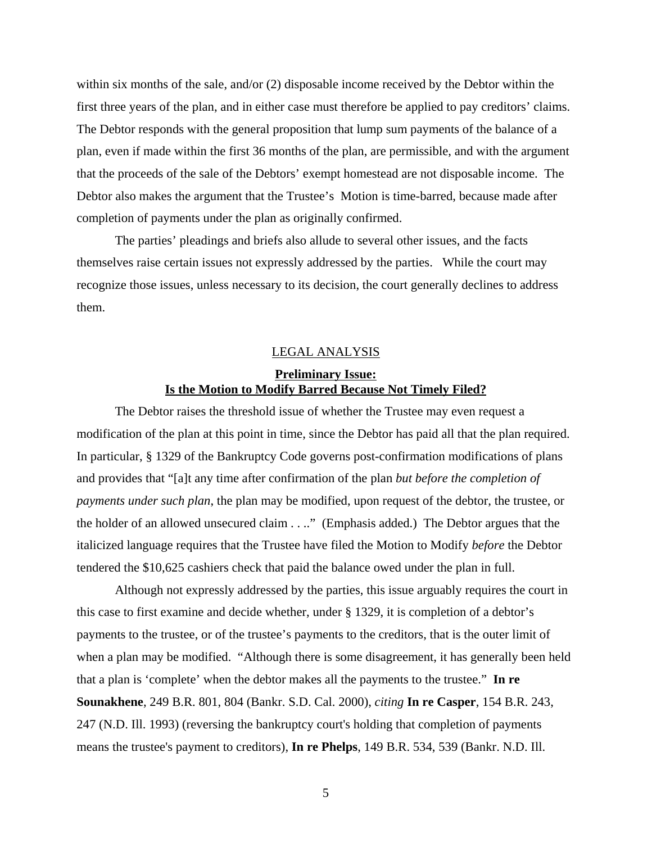within six months of the sale, and/or (2) disposable income received by the Debtor within the first three years of the plan, and in either case must therefore be applied to pay creditors' claims. The Debtor responds with the general proposition that lump sum payments of the balance of a plan, even if made within the first 36 months of the plan, are permissible, and with the argument that the proceeds of the sale of the Debtors' exempt homestead are not disposable income. The Debtor also makes the argument that the Trustee's Motion is time-barred, because made after completion of payments under the plan as originally confirmed.

The parties' pleadings and briefs also allude to several other issues, and the facts themselves raise certain issues not expressly addressed by the parties. While the court may recognize those issues, unless necessary to its decision, the court generally declines to address them.

#### LEGAL ANALYSIS

# **Preliminary Issue: Is the Motion to Modify Barred Because Not Timely Filed?**

The Debtor raises the threshold issue of whether the Trustee may even request a modification of the plan at this point in time, since the Debtor has paid all that the plan required. In particular, § 1329 of the Bankruptcy Code governs post-confirmation modifications of plans and provides that "[a]t any time after confirmation of the plan *but before the completion of payments under such plan*, the plan may be modified, upon request of the debtor, the trustee, or the holder of an allowed unsecured claim . . .." (Emphasis added.) The Debtor argues that the italicized language requires that the Trustee have filed the Motion to Modify *before* the Debtor tendered the \$10,625 cashiers check that paid the balance owed under the plan in full.

Although not expressly addressed by the parties, this issue arguably requires the court in this case to first examine and decide whether, under § 1329, it is completion of a debtor's payments to the trustee, or of the trustee's payments to the creditors, that is the outer limit of when a plan may be modified. "Although there is some disagreement, it has generally been held that a plan is 'complete' when the debtor makes all the payments to the trustee." **In re Sounakhene**, 249 B.R. 801, 804 (Bankr. S.D. Cal. 2000), *citing* **In re Casper**, 154 B.R. 243, 247 (N.D. Ill. 1993) (reversing the bankruptcy court's holding that completion of payments means the trustee's payment to creditors), **In re Phelps**, 149 B.R. 534, 539 (Bankr. N.D. Ill.

5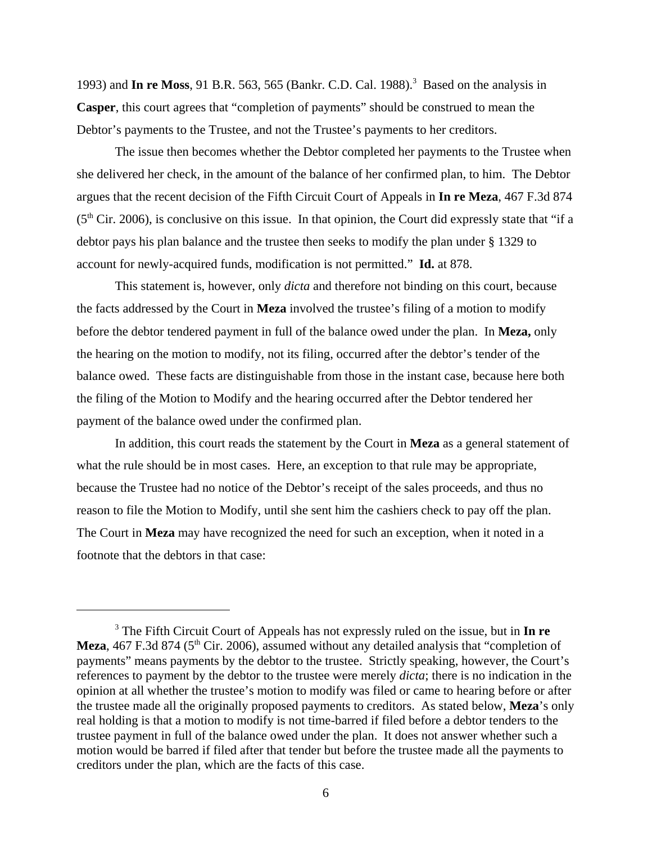1993) and **In re Moss**, 91 B.R. 563, 565 (Bankr. C.D. Cal. 1988).<sup>3</sup> Based on the analysis in **Casper**, this court agrees that "completion of payments" should be construed to mean the Debtor's payments to the Trustee, and not the Trustee's payments to her creditors.

The issue then becomes whether the Debtor completed her payments to the Trustee when she delivered her check, in the amount of the balance of her confirmed plan, to him. The Debtor argues that the recent decision of the Fifth Circuit Court of Appeals in **In re Meza**, 467 F.3d 874  $(5<sup>th</sup> Cir. 2006)$ , is conclusive on this issue. In that opinion, the Court did expressly state that "if a debtor pays his plan balance and the trustee then seeks to modify the plan under § 1329 to account for newly-acquired funds, modification is not permitted." **Id.** at 878.

This statement is, however, only *dicta* and therefore not binding on this court, because the facts addressed by the Court in **Meza** involved the trustee's filing of a motion to modify before the debtor tendered payment in full of the balance owed under the plan. In **Meza,** only the hearing on the motion to modify, not its filing, occurred after the debtor's tender of the balance owed. These facts are distinguishable from those in the instant case, because here both the filing of the Motion to Modify and the hearing occurred after the Debtor tendered her payment of the balance owed under the confirmed plan.

In addition, this court reads the statement by the Court in **Meza** as a general statement of what the rule should be in most cases. Here, an exception to that rule may be appropriate, because the Trustee had no notice of the Debtor's receipt of the sales proceeds, and thus no reason to file the Motion to Modify, until she sent him the cashiers check to pay off the plan. The Court in **Meza** may have recognized the need for such an exception, when it noted in a footnote that the debtors in that case:

<sup>3</sup> The Fifth Circuit Court of Appeals has not expressly ruled on the issue, but in **In re Meza**, 467 F.3d 874 (5<sup>th</sup> Cir. 2006), assumed without any detailed analysis that "completion of payments" means payments by the debtor to the trustee. Strictly speaking, however, the Court's references to payment by the debtor to the trustee were merely *dicta*; there is no indication in the opinion at all whether the trustee's motion to modify was filed or came to hearing before or after the trustee made all the originally proposed payments to creditors. As stated below, **Meza**'s only real holding is that a motion to modify is not time-barred if filed before a debtor tenders to the trustee payment in full of the balance owed under the plan. It does not answer whether such a motion would be barred if filed after that tender but before the trustee made all the payments to creditors under the plan, which are the facts of this case.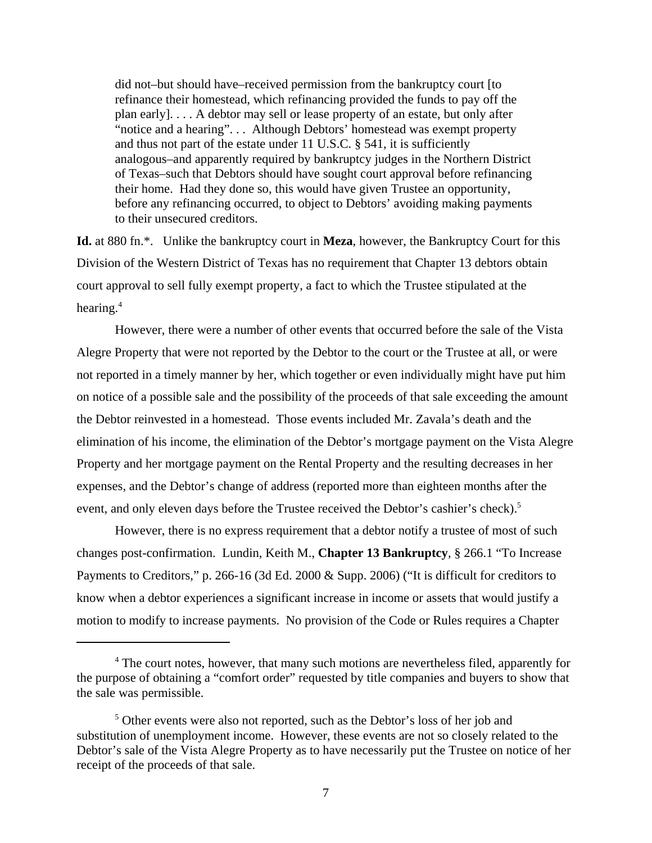did not–but should have–received permission from the bankruptcy court [to refinance their homestead, which refinancing provided the funds to pay off the plan early]. . . . A debtor may sell or lease property of an estate, but only after "notice and a hearing". . . Although Debtors' homestead was exempt property and thus not part of the estate under 11 U.S.C. § 541, it is sufficiently analogous–and apparently required by bankruptcy judges in the Northern District of Texas–such that Debtors should have sought court approval before refinancing their home. Had they done so, this would have given Trustee an opportunity, before any refinancing occurred, to object to Debtors' avoiding making payments to their unsecured creditors.

**Id.** at 880 fn.\*. Unlike the bankruptcy court in **Meza**, however, the Bankruptcy Court for this Division of the Western District of Texas has no requirement that Chapter 13 debtors obtain court approval to sell fully exempt property, a fact to which the Trustee stipulated at the hearing.4

However, there were a number of other events that occurred before the sale of the Vista Alegre Property that were not reported by the Debtor to the court or the Trustee at all, or were not reported in a timely manner by her, which together or even individually might have put him on notice of a possible sale and the possibility of the proceeds of that sale exceeding the amount the Debtor reinvested in a homestead. Those events included Mr. Zavala's death and the elimination of his income, the elimination of the Debtor's mortgage payment on the Vista Alegre Property and her mortgage payment on the Rental Property and the resulting decreases in her expenses, and the Debtor's change of address (reported more than eighteen months after the event, and only eleven days before the Trustee received the Debtor's cashier's check).<sup>5</sup>

However, there is no express requirement that a debtor notify a trustee of most of such changes post-confirmation. Lundin, Keith M., **Chapter 13 Bankruptcy**, § 266.1 "To Increase Payments to Creditors," p. 266-16 (3d Ed. 2000 & Supp. 2006) ("It is difficult for creditors to know when a debtor experiences a significant increase in income or assets that would justify a motion to modify to increase payments. No provision of the Code or Rules requires a Chapter

<sup>&</sup>lt;sup>4</sup> The court notes, however, that many such motions are nevertheless filed, apparently for the purpose of obtaining a "comfort order" requested by title companies and buyers to show that the sale was permissible.

<sup>&</sup>lt;sup>5</sup> Other events were also not reported, such as the Debtor's loss of her job and substitution of unemployment income. However, these events are not so closely related to the Debtor's sale of the Vista Alegre Property as to have necessarily put the Trustee on notice of her receipt of the proceeds of that sale.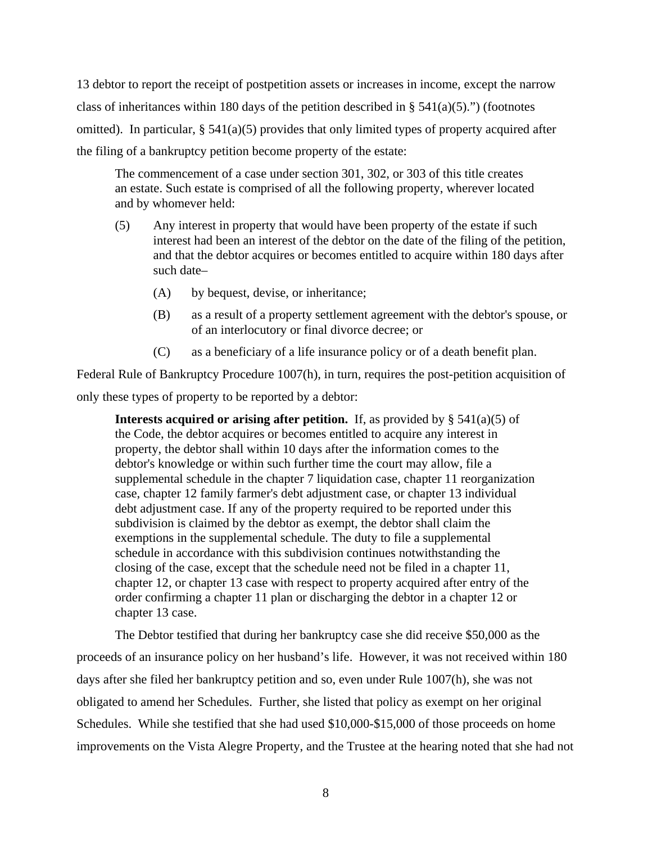13 debtor to report the receipt of postpetition assets or increases in income, except the narrow class of inheritances within 180 days of the petition described in §  $541(a)(5)$ .") (footnotes omitted). In particular,  $\S 541(a)(5)$  provides that only limited types of property acquired after the filing of a bankruptcy petition become property of the estate:

The commencement of a case under section 301, 302, or 303 of this title creates an estate. Such estate is comprised of all the following property, wherever located and by whomever held:

- (5) Any interest in property that would have been property of the estate if such interest had been an interest of the debtor on the date of the filing of the petition, and that the debtor acquires or becomes entitled to acquire within 180 days after such date–
	- (A) by bequest, devise, or inheritance;
	- (B) as a result of a property settlement agreement with the debtor's spouse, or of an interlocutory or final divorce decree; or
	- (C) as a beneficiary of a life insurance policy or of a death benefit plan.

Federal Rule of Bankruptcy Procedure 1007(h), in turn, requires the post-petition acquisition of only these types of property to be reported by a debtor:

**Interests acquired or arising after petition.** If, as provided by  $\S$  541(a)(5) of the Code, the debtor acquires or becomes entitled to acquire any interest in property, the debtor shall within 10 days after the information comes to the debtor's knowledge or within such further time the court may allow, file a supplemental schedule in the chapter 7 liquidation case, chapter 11 reorganization case, chapter 12 family farmer's debt adjustment case, or chapter 13 individual debt adjustment case. If any of the property required to be reported under this subdivision is claimed by the debtor as exempt, the debtor shall claim the exemptions in the supplemental schedule. The duty to file a supplemental schedule in accordance with this subdivision continues notwithstanding the closing of the case, except that the schedule need not be filed in a chapter 11, chapter 12, or chapter 13 case with respect to property acquired after entry of the order confirming a chapter 11 plan or discharging the debtor in a chapter 12 or chapter 13 case.

The Debtor testified that during her bankruptcy case she did receive \$50,000 as the proceeds of an insurance policy on her husband's life. However, it was not received within 180 days after she filed her bankruptcy petition and so, even under Rule 1007(h), she was not obligated to amend her Schedules. Further, she listed that policy as exempt on her original Schedules. While she testified that she had used \$10,000-\$15,000 of those proceeds on home improvements on the Vista Alegre Property, and the Trustee at the hearing noted that she had not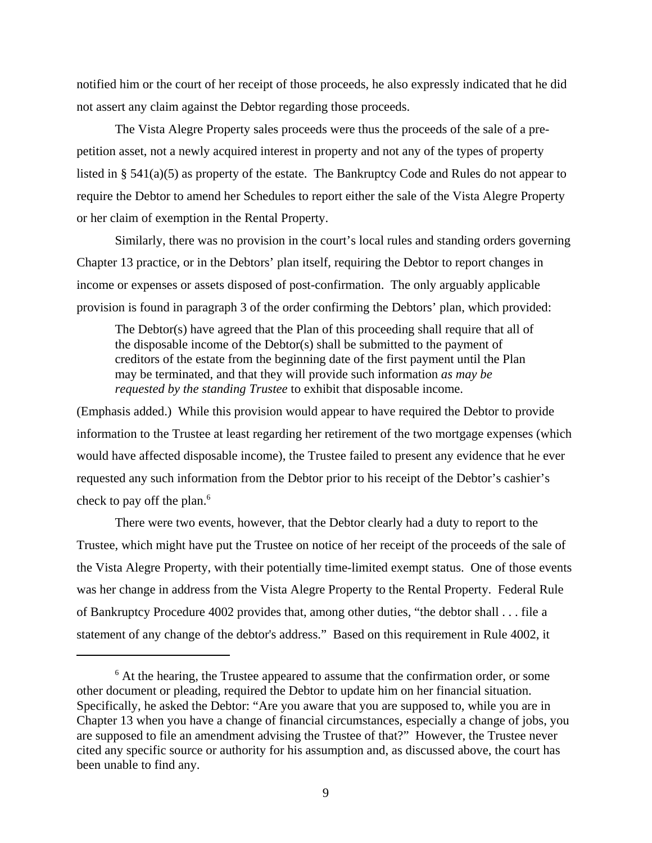notified him or the court of her receipt of those proceeds, he also expressly indicated that he did not assert any claim against the Debtor regarding those proceeds.

The Vista Alegre Property sales proceeds were thus the proceeds of the sale of a prepetition asset, not a newly acquired interest in property and not any of the types of property listed in § 541(a)(5) as property of the estate. The Bankruptcy Code and Rules do not appear to require the Debtor to amend her Schedules to report either the sale of the Vista Alegre Property or her claim of exemption in the Rental Property.

Similarly, there was no provision in the court's local rules and standing orders governing Chapter 13 practice, or in the Debtors' plan itself, requiring the Debtor to report changes in income or expenses or assets disposed of post-confirmation. The only arguably applicable provision is found in paragraph 3 of the order confirming the Debtors' plan, which provided:

The Debtor(s) have agreed that the Plan of this proceeding shall require that all of the disposable income of the Debtor(s) shall be submitted to the payment of creditors of the estate from the beginning date of the first payment until the Plan may be terminated, and that they will provide such information *as may be requested by the standing Trustee* to exhibit that disposable income.

(Emphasis added.) While this provision would appear to have required the Debtor to provide information to the Trustee at least regarding her retirement of the two mortgage expenses (which would have affected disposable income), the Trustee failed to present any evidence that he ever requested any such information from the Debtor prior to his receipt of the Debtor's cashier's check to pay off the plan.<sup>6</sup>

There were two events, however, that the Debtor clearly had a duty to report to the Trustee, which might have put the Trustee on notice of her receipt of the proceeds of the sale of the Vista Alegre Property, with their potentially time-limited exempt status. One of those events was her change in address from the Vista Alegre Property to the Rental Property. Federal Rule of Bankruptcy Procedure 4002 provides that, among other duties, "the debtor shall . . . file a statement of any change of the debtor's address." Based on this requirement in Rule 4002, it

<sup>&</sup>lt;sup>6</sup> At the hearing, the Trustee appeared to assume that the confirmation order, or some other document or pleading, required the Debtor to update him on her financial situation. Specifically, he asked the Debtor: "Are you aware that you are supposed to, while you are in Chapter 13 when you have a change of financial circumstances, especially a change of jobs, you are supposed to file an amendment advising the Trustee of that?" However, the Trustee never cited any specific source or authority for his assumption and, as discussed above, the court has been unable to find any.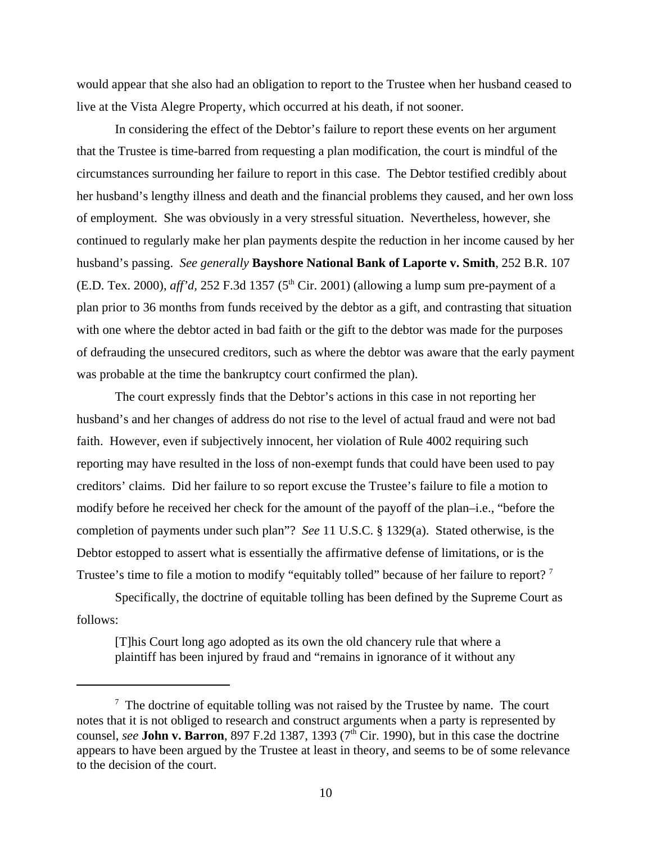would appear that she also had an obligation to report to the Trustee when her husband ceased to live at the Vista Alegre Property, which occurred at his death, if not sooner.

In considering the effect of the Debtor's failure to report these events on her argument that the Trustee is time-barred from requesting a plan modification, the court is mindful of the circumstances surrounding her failure to report in this case. The Debtor testified credibly about her husband's lengthy illness and death and the financial problems they caused, and her own loss of employment. She was obviously in a very stressful situation. Nevertheless, however, she continued to regularly make her plan payments despite the reduction in her income caused by her husband's passing. *See generally* **Bayshore National Bank of Laporte v. Smith**, 252 B.R. 107 (E.D. Tex. 2000), *aff'd*, 252 F.3d 1357 (5<sup>th</sup> Cir. 2001) (allowing a lump sum pre-payment of a plan prior to 36 months from funds received by the debtor as a gift, and contrasting that situation with one where the debtor acted in bad faith or the gift to the debtor was made for the purposes of defrauding the unsecured creditors, such as where the debtor was aware that the early payment was probable at the time the bankruptcy court confirmed the plan).

The court expressly finds that the Debtor's actions in this case in not reporting her husband's and her changes of address do not rise to the level of actual fraud and were not bad faith. However, even if subjectively innocent, her violation of Rule 4002 requiring such reporting may have resulted in the loss of non-exempt funds that could have been used to pay creditors' claims. Did her failure to so report excuse the Trustee's failure to file a motion to modify before he received her check for the amount of the payoff of the plan–i.e., "before the completion of payments under such plan"? *See* 11 U.S.C. § 1329(a). Stated otherwise, is the Debtor estopped to assert what is essentially the affirmative defense of limitations, or is the Trustee's time to file a motion to modify "equitably tolled" because of her failure to report?<sup>7</sup>

Specifically, the doctrine of equitable tolling has been defined by the Supreme Court as follows:

[T]his Court long ago adopted as its own the old chancery rule that where a plaintiff has been injured by fraud and "remains in ignorance of it without any

 $7$  The doctrine of equitable tolling was not raised by the Trustee by name. The court notes that it is not obliged to research and construct arguments when a party is represented by counsel, *see* John v. Barron, 897 F.2d 1387, 1393 (7<sup>th</sup> Cir. 1990), but in this case the doctrine appears to have been argued by the Trustee at least in theory, and seems to be of some relevance to the decision of the court.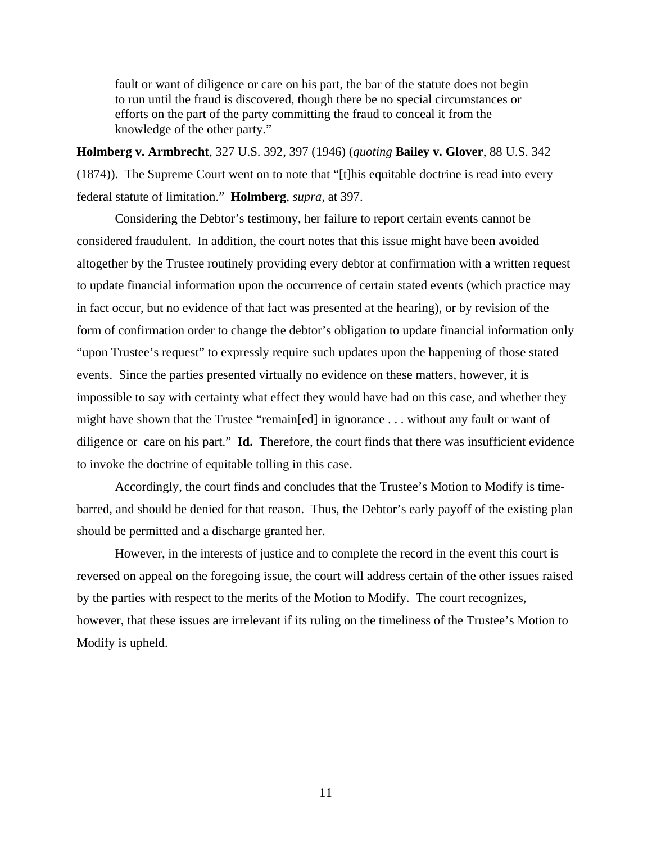fault or want of diligence or care on his part, the bar of the statute does not begin to run until the fraud is discovered, though there be no special circumstances or efforts on the part of the party committing the fraud to conceal it from the knowledge of the other party."

**Holmberg v. Armbrecht**, 327 U.S. 392, 397 (1946) (*quoting* **Bailey v. Glover**, 88 U.S. 342 (1874)). The Supreme Court went on to note that "[t]his equitable doctrine is read into every federal statute of limitation." **Holmberg**, *supra*, at 397.

Considering the Debtor's testimony, her failure to report certain events cannot be considered fraudulent. In addition, the court notes that this issue might have been avoided altogether by the Trustee routinely providing every debtor at confirmation with a written request to update financial information upon the occurrence of certain stated events (which practice may in fact occur, but no evidence of that fact was presented at the hearing), or by revision of the form of confirmation order to change the debtor's obligation to update financial information only "upon Trustee's request" to expressly require such updates upon the happening of those stated events. Since the parties presented virtually no evidence on these matters, however, it is impossible to say with certainty what effect they would have had on this case, and whether they might have shown that the Trustee "remain[ed] in ignorance . . . without any fault or want of diligence or care on his part." **Id.** Therefore, the court finds that there was insufficient evidence to invoke the doctrine of equitable tolling in this case.

Accordingly, the court finds and concludes that the Trustee's Motion to Modify is timebarred, and should be denied for that reason. Thus, the Debtor's early payoff of the existing plan should be permitted and a discharge granted her.

However, in the interests of justice and to complete the record in the event this court is reversed on appeal on the foregoing issue, the court will address certain of the other issues raised by the parties with respect to the merits of the Motion to Modify. The court recognizes, however, that these issues are irrelevant if its ruling on the timeliness of the Trustee's Motion to Modify is upheld.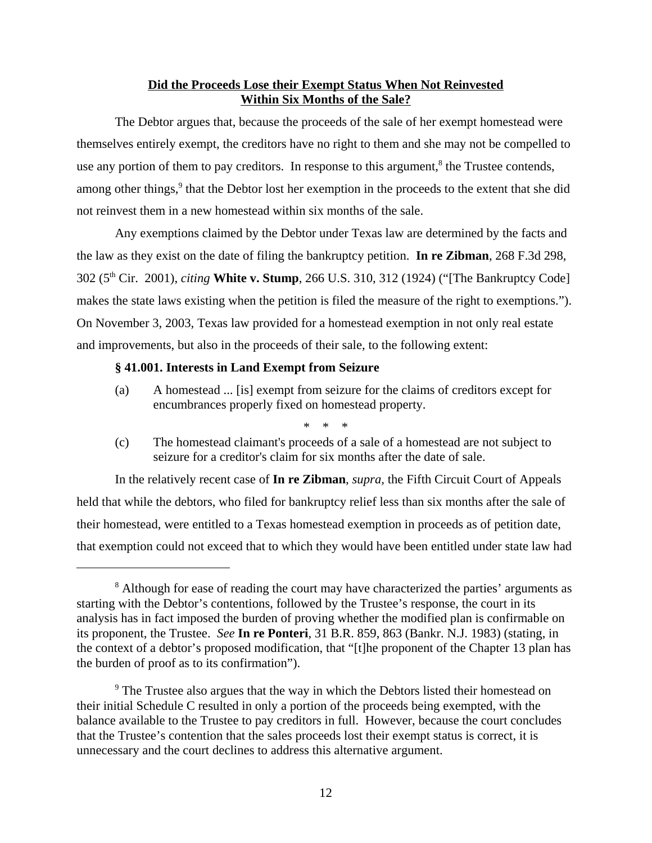# **Did the Proceeds Lose their Exempt Status When Not Reinvested Within Six Months of the Sale?**

The Debtor argues that, because the proceeds of the sale of her exempt homestead were themselves entirely exempt, the creditors have no right to them and she may not be compelled to use any portion of them to pay creditors. In response to this argument,<sup>8</sup> the Trustee contends, among other things,<sup>9</sup> that the Debtor lost her exemption in the proceeds to the extent that she did not reinvest them in a new homestead within six months of the sale.

Any exemptions claimed by the Debtor under Texas law are determined by the facts and the law as they exist on the date of filing the bankruptcy petition. **In re Zibman**, 268 F.3d 298, 302 (5th Cir. 2001), *citing* **White v. Stump**, 266 U.S. 310, 312 (1924) ("[The Bankruptcy Code] makes the state laws existing when the petition is filed the measure of the right to exemptions."). On November 3, 2003, Texas law provided for a homestead exemption in not only real estate and improvements, but also in the proceeds of their sale, to the following extent:

### **§ 41.001. Interests in Land Exempt from Seizure**

- (a) A homestead ... [is] exempt from seizure for the claims of creditors except for encumbrances properly fixed on homestead property.
	- \* \* \*
- (c) The homestead claimant's proceeds of a sale of a homestead are not subject to seizure for a creditor's claim for six months after the date of sale.

In the relatively recent case of **In re Zibman**, *supra,* the Fifth Circuit Court of Appeals held that while the debtors, who filed for bankruptcy relief less than six months after the sale of their homestead, were entitled to a Texas homestead exemption in proceeds as of petition date, that exemption could not exceed that to which they would have been entitled under state law had

<sup>&</sup>lt;sup>8</sup> Although for ease of reading the court may have characterized the parties' arguments as starting with the Debtor's contentions, followed by the Trustee's response, the court in its analysis has in fact imposed the burden of proving whether the modified plan is confirmable on its proponent, the Trustee. *See* **In re Ponteri**, 31 B.R. 859, 863 (Bankr. N.J. 1983) (stating, in the context of a debtor's proposed modification, that "[t]he proponent of the Chapter 13 plan has the burden of proof as to its confirmation").

<sup>&</sup>lt;sup>9</sup> The Trustee also argues that the way in which the Debtors listed their homestead on their initial Schedule C resulted in only a portion of the proceeds being exempted, with the balance available to the Trustee to pay creditors in full. However, because the court concludes that the Trustee's contention that the sales proceeds lost their exempt status is correct, it is unnecessary and the court declines to address this alternative argument.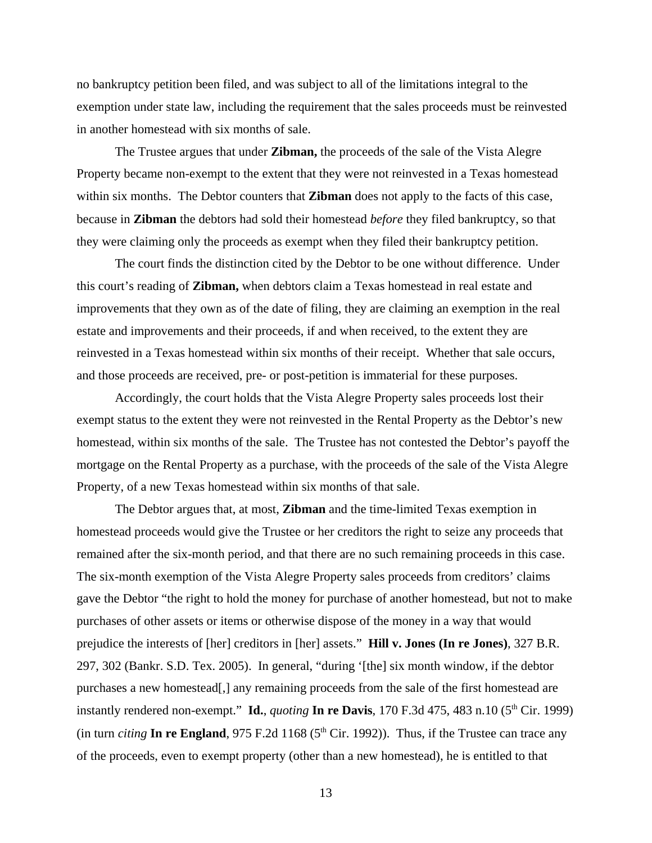no bankruptcy petition been filed, and was subject to all of the limitations integral to the exemption under state law, including the requirement that the sales proceeds must be reinvested in another homestead with six months of sale.

The Trustee argues that under **Zibman,** the proceeds of the sale of the Vista Alegre Property became non-exempt to the extent that they were not reinvested in a Texas homestead within six months. The Debtor counters that **Zibman** does not apply to the facts of this case, because in **Zibman** the debtors had sold their homestead *before* they filed bankruptcy, so that they were claiming only the proceeds as exempt when they filed their bankruptcy petition.

The court finds the distinction cited by the Debtor to be one without difference. Under this court's reading of **Zibman,** when debtors claim a Texas homestead in real estate and improvements that they own as of the date of filing, they are claiming an exemption in the real estate and improvements and their proceeds, if and when received, to the extent they are reinvested in a Texas homestead within six months of their receipt. Whether that sale occurs, and those proceeds are received, pre- or post-petition is immaterial for these purposes.

Accordingly, the court holds that the Vista Alegre Property sales proceeds lost their exempt status to the extent they were not reinvested in the Rental Property as the Debtor's new homestead, within six months of the sale. The Trustee has not contested the Debtor's payoff the mortgage on the Rental Property as a purchase, with the proceeds of the sale of the Vista Alegre Property, of a new Texas homestead within six months of that sale.

The Debtor argues that, at most, **Zibman** and the time-limited Texas exemption in homestead proceeds would give the Trustee or her creditors the right to seize any proceeds that remained after the six-month period, and that there are no such remaining proceeds in this case. The six-month exemption of the Vista Alegre Property sales proceeds from creditors' claims gave the Debtor "the right to hold the money for purchase of another homestead, but not to make purchases of other assets or items or otherwise dispose of the money in a way that would prejudice the interests of [her] creditors in [her] assets." **Hill v. Jones (In re Jones)**, 327 B.R. 297, 302 (Bankr. S.D. Tex. 2005). In general, "during '[the] six month window, if the debtor purchases a new homestead[,] any remaining proceeds from the sale of the first homestead are instantly rendered non-exempt." **Id.**, *quoting* **In re Davis**, 170 F.3d 475, 483 n.10 ( $5<sup>th</sup>$  Cir. 1999) (in turn *citing* In re England, 975 F.2d 1168 ( $5<sup>th</sup>$  Cir. 1992)). Thus, if the Trustee can trace any of the proceeds, even to exempt property (other than a new homestead), he is entitled to that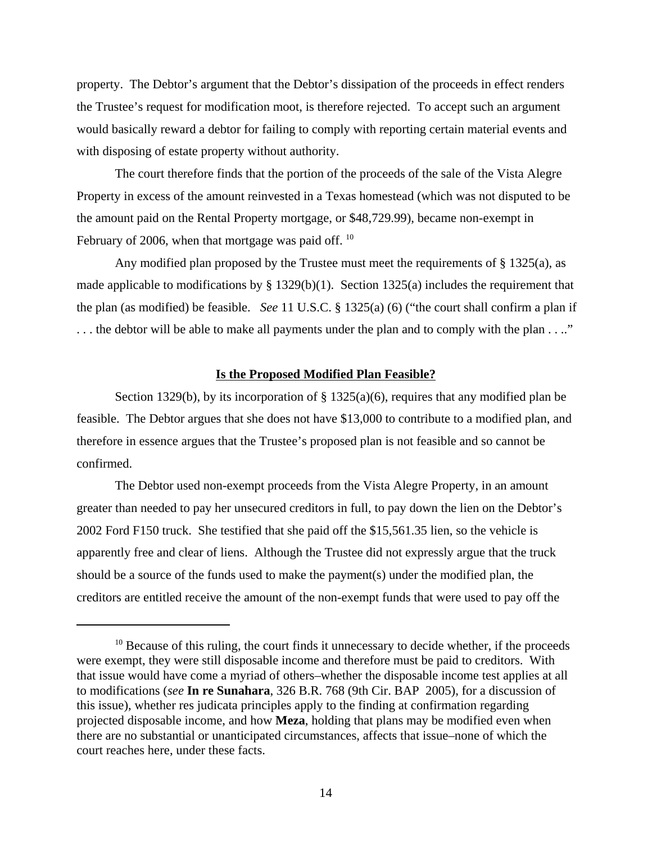property. The Debtor's argument that the Debtor's dissipation of the proceeds in effect renders the Trustee's request for modification moot, is therefore rejected. To accept such an argument would basically reward a debtor for failing to comply with reporting certain material events and with disposing of estate property without authority.

The court therefore finds that the portion of the proceeds of the sale of the Vista Alegre Property in excess of the amount reinvested in a Texas homestead (which was not disputed to be the amount paid on the Rental Property mortgage, or \$48,729.99), became non-exempt in February of 2006, when that mortgage was paid off. <sup>10</sup>

Any modified plan proposed by the Trustee must meet the requirements of  $\S$  1325(a), as made applicable to modifications by  $\S$  1329(b)(1). Section 1325(a) includes the requirement that the plan (as modified) be feasible. *See* 11 U.S.C. § 1325(a) (6) ("the court shall confirm a plan if . . . the debtor will be able to make all payments under the plan and to comply with the plan . . .."

### **Is the Proposed Modified Plan Feasible?**

Section 1329(b), by its incorporation of  $\S 1325(a)(6)$ , requires that any modified plan be feasible. The Debtor argues that she does not have \$13,000 to contribute to a modified plan, and therefore in essence argues that the Trustee's proposed plan is not feasible and so cannot be confirmed.

The Debtor used non-exempt proceeds from the Vista Alegre Property, in an amount greater than needed to pay her unsecured creditors in full, to pay down the lien on the Debtor's 2002 Ford F150 truck. She testified that she paid off the \$15,561.35 lien, so the vehicle is apparently free and clear of liens. Although the Trustee did not expressly argue that the truck should be a source of the funds used to make the payment(s) under the modified plan, the creditors are entitled receive the amount of the non-exempt funds that were used to pay off the

 $10$  Because of this ruling, the court finds it unnecessary to decide whether, if the proceeds were exempt, they were still disposable income and therefore must be paid to creditors. With that issue would have come a myriad of others–whether the disposable income test applies at all to modifications (*see* **In re Sunahara**, 326 B.R. 768 (9th Cir. BAP 2005), for a discussion of this issue), whether res judicata principles apply to the finding at confirmation regarding projected disposable income, and how **Meza**, holding that plans may be modified even when there are no substantial or unanticipated circumstances, affects that issue–none of which the court reaches here, under these facts.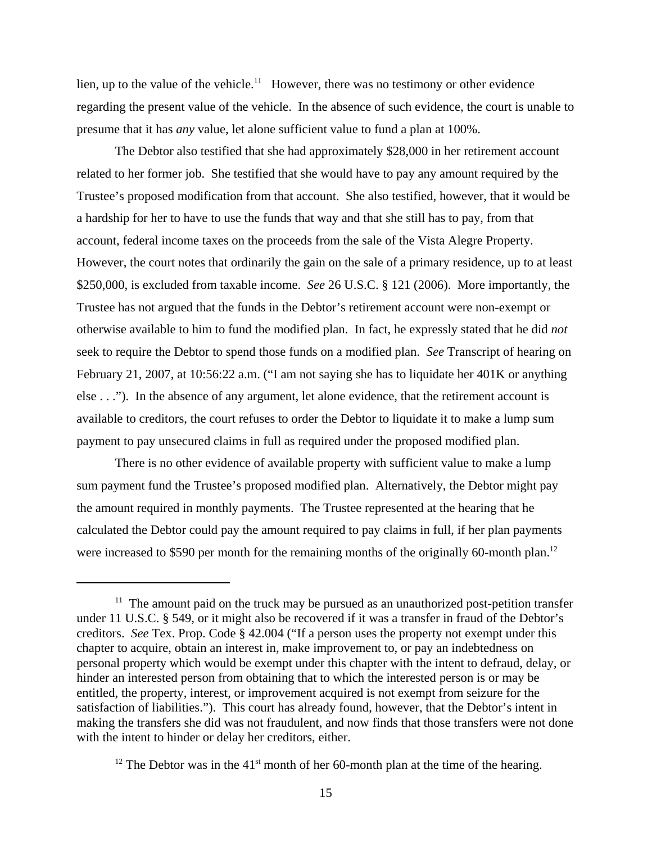lien, up to the value of the vehicle.<sup>11</sup> However, there was no testimony or other evidence regarding the present value of the vehicle. In the absence of such evidence, the court is unable to presume that it has *any* value, let alone sufficient value to fund a plan at 100%.

The Debtor also testified that she had approximately \$28,000 in her retirement account related to her former job. She testified that she would have to pay any amount required by the Trustee's proposed modification from that account. She also testified, however, that it would be a hardship for her to have to use the funds that way and that she still has to pay, from that account, federal income taxes on the proceeds from the sale of the Vista Alegre Property. However, the court notes that ordinarily the gain on the sale of a primary residence, up to at least \$250,000, is excluded from taxable income. *See* 26 U.S.C. § 121 (2006). More importantly, the Trustee has not argued that the funds in the Debtor's retirement account were non-exempt or otherwise available to him to fund the modified plan. In fact, he expressly stated that he did *not* seek to require the Debtor to spend those funds on a modified plan. *See* Transcript of hearing on February 21, 2007, at 10:56:22 a.m. ("I am not saying she has to liquidate her 401K or anything else . . ."). In the absence of any argument, let alone evidence, that the retirement account is available to creditors, the court refuses to order the Debtor to liquidate it to make a lump sum payment to pay unsecured claims in full as required under the proposed modified plan.

There is no other evidence of available property with sufficient value to make a lump sum payment fund the Trustee's proposed modified plan. Alternatively, the Debtor might pay the amount required in monthly payments. The Trustee represented at the hearing that he calculated the Debtor could pay the amount required to pay claims in full, if her plan payments were increased to \$590 per month for the remaining months of the originally 60-month plan.<sup>12</sup>

 $11$  The amount paid on the truck may be pursued as an unauthorized post-petition transfer under 11 U.S.C. § 549, or it might also be recovered if it was a transfer in fraud of the Debtor's creditors. *See* Tex. Prop. Code § 42.004 ("If a person uses the property not exempt under this chapter to acquire, obtain an interest in, make improvement to, or pay an indebtedness on personal property which would be exempt under this chapter with the intent to defraud, delay, or hinder an interested person from obtaining that to which the interested person is or may be entitled, the property, interest, or improvement acquired is not exempt from seizure for the satisfaction of liabilities."). This court has already found, however, that the Debtor's intent in making the transfers she did was not fraudulent, and now finds that those transfers were not done with the intent to hinder or delay her creditors, either.

<sup>&</sup>lt;sup>12</sup> The Debtor was in the 41<sup>st</sup> month of her 60-month plan at the time of the hearing.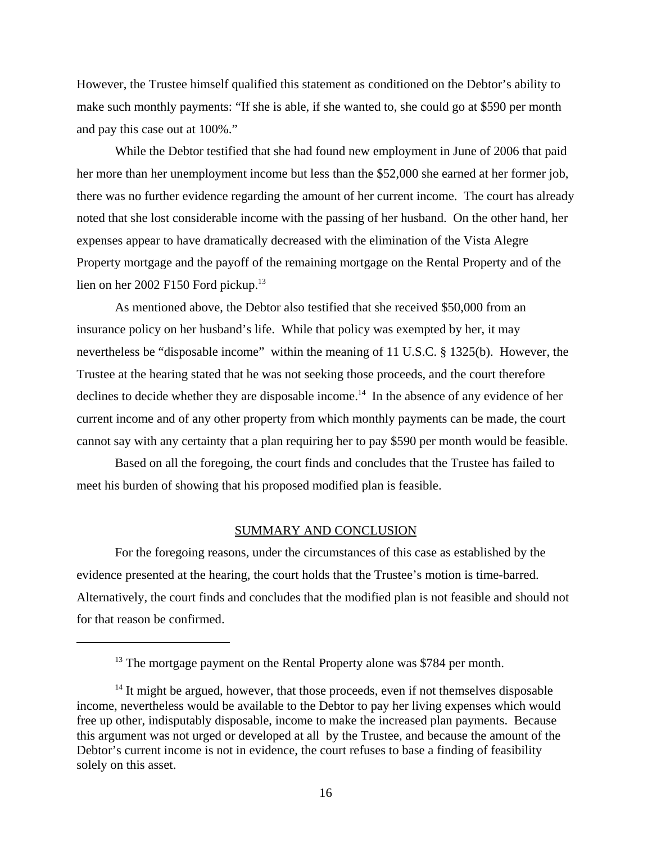However, the Trustee himself qualified this statement as conditioned on the Debtor's ability to make such monthly payments: "If she is able, if she wanted to, she could go at \$590 per month and pay this case out at 100%."

While the Debtor testified that she had found new employment in June of 2006 that paid her more than her unemployment income but less than the \$52,000 she earned at her former job, there was no further evidence regarding the amount of her current income. The court has already noted that she lost considerable income with the passing of her husband. On the other hand, her expenses appear to have dramatically decreased with the elimination of the Vista Alegre Property mortgage and the payoff of the remaining mortgage on the Rental Property and of the lien on her 2002 F150 Ford pickup.<sup>13</sup>

As mentioned above, the Debtor also testified that she received \$50,000 from an insurance policy on her husband's life. While that policy was exempted by her, it may nevertheless be "disposable income" within the meaning of 11 U.S.C. § 1325(b). However, the Trustee at the hearing stated that he was not seeking those proceeds, and the court therefore declines to decide whether they are disposable income.<sup>14</sup> In the absence of any evidence of her current income and of any other property from which monthly payments can be made, the court cannot say with any certainty that a plan requiring her to pay \$590 per month would be feasible.

Based on all the foregoing, the court finds and concludes that the Trustee has failed to meet his burden of showing that his proposed modified plan is feasible.

### SUMMARY AND CONCLUSION

For the foregoing reasons, under the circumstances of this case as established by the evidence presented at the hearing, the court holds that the Trustee's motion is time-barred. Alternatively, the court finds and concludes that the modified plan is not feasible and should not for that reason be confirmed.

<sup>&</sup>lt;sup>13</sup> The mortgage payment on the Rental Property alone was \$784 per month.

 $14$  It might be argued, however, that those proceeds, even if not themselves disposable income, nevertheless would be available to the Debtor to pay her living expenses which would free up other, indisputably disposable, income to make the increased plan payments. Because this argument was not urged or developed at all by the Trustee, and because the amount of the Debtor's current income is not in evidence, the court refuses to base a finding of feasibility solely on this asset.